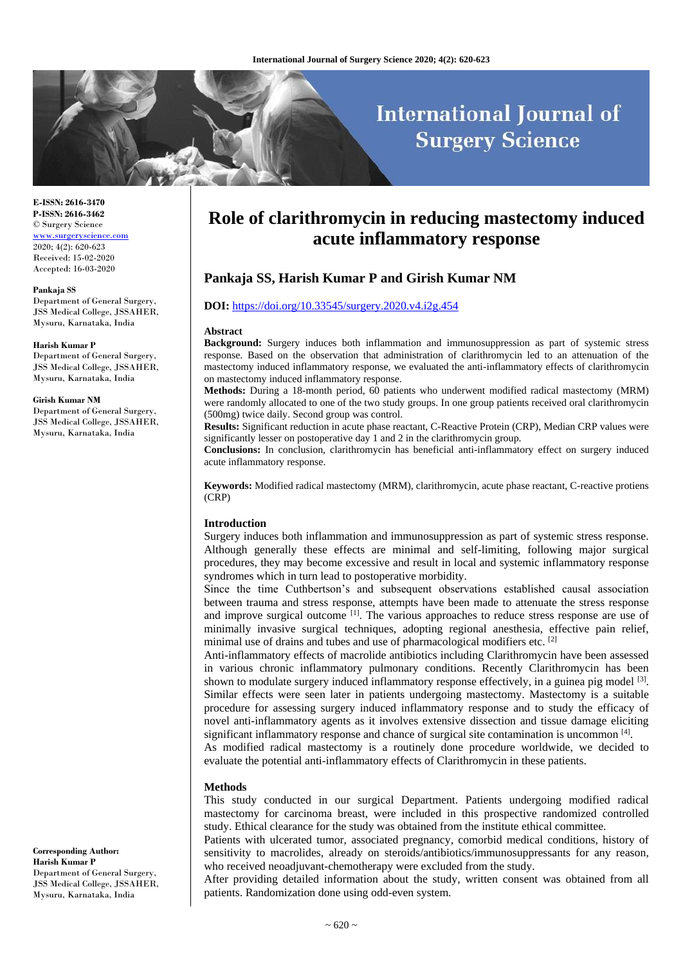# **International Journal of Surgery Science**

**E-ISSN: 2616-3470 P-ISSN: 2616-3462** © Surgery Science [www.surgeryscience.com](http://www.surgeryscience.com/) 2020; 4(2): 620-623 Received: 15-02-2020 Accepted: 16-03-2020

#### **Pankaja SS**

Department of General Surgery, JSS Medical College, JSSAHER, Mysuru, Karnataka, India

#### **Harish Kumar P**

Department of General Surgery, JSS Medical College, JSSAHER, Mysuru, Karnataka, India

#### **Girish Kumar NM**

Department of General Surgery, JSS Medical College, JSSAHER, Mysuru, Karnataka, India

**Corresponding Author: Harish Kumar P** Department of General Surgery, JSS Medical College, JSSAHER, Mysuru, Karnataka, India

# **Role of clarithromycin in reducing mastectomy induced acute inflammatory response**

# **Pankaja SS, Harish Kumar P and Girish Kumar NM**

#### **DOI:** <https://doi.org/10.33545/surgery.2020.v4.i2g.454>

#### **Abstract**

**Background:** Surgery induces both inflammation and immunosuppression as part of systemic stress response. Based on the observation that administration of clarithromycin led to an attenuation of the mastectomy induced inflammatory response, we evaluated the anti-inflammatory effects of clarithromycin on mastectomy induced inflammatory response.

**Methods:** During a 18-month period, 60 patients who underwent modified radical mastectomy (MRM) were randomly allocated to one of the two study groups. In one group patients received oral clarithromycin (500mg) twice daily. Second group was control.

**Results:** Significant reduction in acute phase reactant, C-Reactive Protein (CRP), Median CRP values were significantly lesser on postoperative day 1 and 2 in the clarithromycin group.

**Conclusions:** In conclusion, clarithromycin has beneficial anti-inflammatory effect on surgery induced acute inflammatory response.

**Keywords:** Modified radical mastectomy (MRM), clarithromycin, acute phase reactant, C-reactive protiens (CRP)

#### **Introduction**

Surgery induces both inflammation and immunosuppression as part of systemic stress response. Although generally these effects are minimal and self-limiting, following major surgical procedures, they may become excessive and result in local and systemic inflammatory response syndromes which in turn lead to postoperative morbidity.

Since the time Cuthbertson's and subsequent observations established causal association between trauma and stress response, attempts have been made to attenuate the stress response and improve surgical outcome  $\left[1\right]$ . The various approaches to reduce stress response are use of minimally invasive surgical techniques, adopting regional anesthesia, effective pain relief, minimal use of drains and tubes and use of pharmacological modifiers etc. [2]

Anti-inflammatory effects of macrolide antibiotics including Clarithromycin have been assessed in various chronic inflammatory pulmonary conditions. Recently Clarithromycin has been shown to modulate surgery induced inflammatory response effectively, in a guinea pig model <sup>[3]</sup>. Similar effects were seen later in patients undergoing mastectomy. Mastectomy is a suitable procedure for assessing surgery induced inflammatory response and to study the efficacy of novel anti-inflammatory agents as it involves extensive dissection and tissue damage eliciting significant inflammatory response and chance of surgical site contamination is uncommon [4].

As modified radical mastectomy is a routinely done procedure worldwide, we decided to evaluate the potential anti-inflammatory effects of Clarithromycin in these patients.

#### **Methods**

This study conducted in our surgical Department. Patients undergoing modified radical mastectomy for carcinoma breast, were included in this prospective randomized controlled study. Ethical clearance for the study was obtained from the institute ethical committee.

Patients with ulcerated tumor, associated pregnancy, comorbid medical conditions, history of sensitivity to macrolides, already on steroids/antibiotics/immunosuppressants for any reason, who received neoadjuvant-chemotherapy were excluded from the study.

After providing detailed information about the study, written consent was obtained from all patients. Randomization done using odd-even system.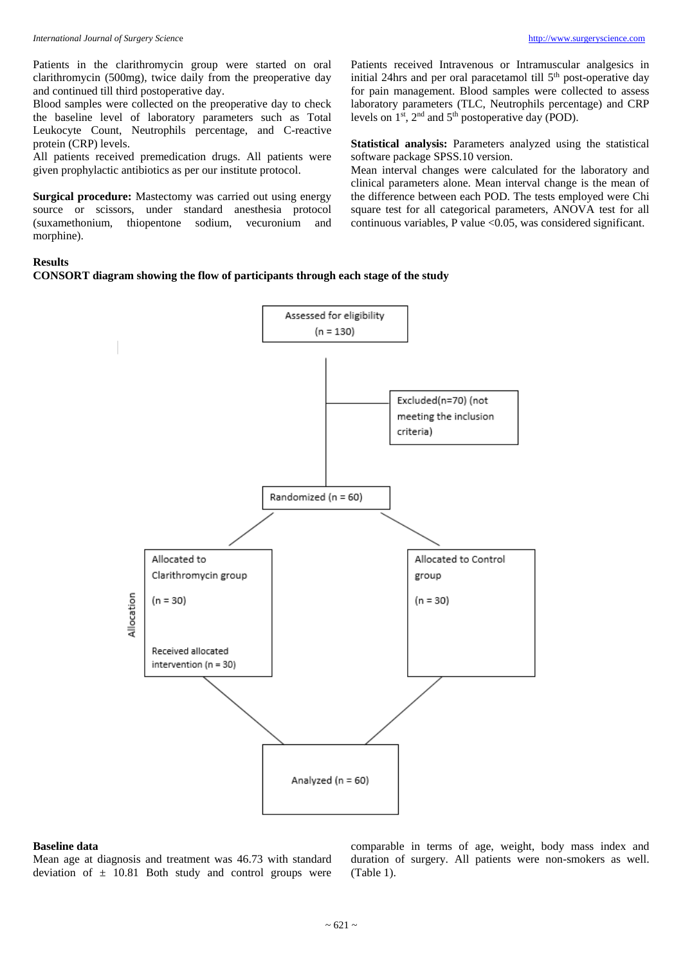Patients in the clarithromycin group were started on oral clarithromycin (500mg), twice daily from the preoperative day and continued till third postoperative day.

Blood samples were collected on the preoperative day to check the baseline level of laboratory parameters such as Total Leukocyte Count, Neutrophils percentage, and C-reactive protein (CRP) levels.

All patients received premedication drugs. All patients were given prophylactic antibiotics as per our institute protocol.

**Surgical procedure:** Mastectomy was carried out using energy source or scissors, under standard anesthesia protocol (suxamethonium, thiopentone sodium, vecuronium and morphine).

Patients received Intravenous or Intramuscular analgesics in initial 24hrs and per oral paracetamol till 5<sup>th</sup> post-operative day for pain management. Blood samples were collected to assess laboratory parameters (TLC, Neutrophils percentage) and CRP levels on  $1<sup>st</sup>$ ,  $2<sup>nd</sup>$  and  $5<sup>th</sup>$  postoperative day (POD).

**Statistical analysis:** Parameters analyzed using the statistical software package SPSS.10 version.

Mean interval changes were calculated for the laboratory and clinical parameters alone. Mean interval change is the mean of the difference between each POD. The tests employed were Chi square test for all categorical parameters, ANOVA test for all continuous variables, P value <0.05, was considered significant.

#### **Results**

# **CONSORT diagram showing the flow of participants through each stage of the study**



### **Baseline data**

Mean age at diagnosis and treatment was 46.73 with standard deviation of  $\pm$  10.81 Both study and control groups were comparable in terms of age, weight, body mass index and duration of surgery. All patients were non-smokers as well. (Table 1).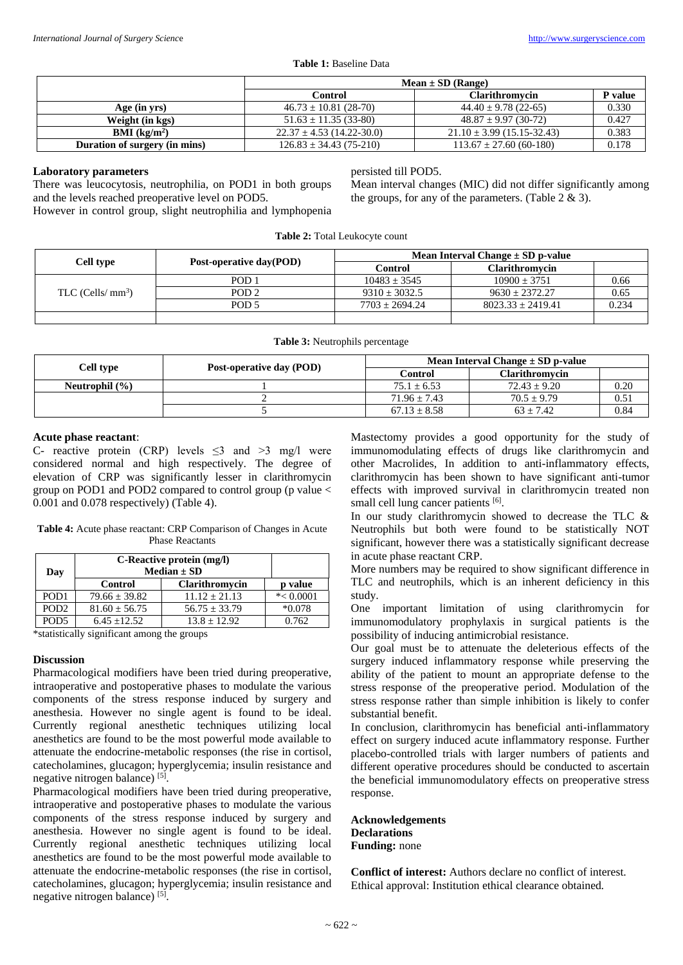#### **Table 1:** Baseline Data

|                               | $Mean \pm SD$ (Range)         |                                |         |
|-------------------------------|-------------------------------|--------------------------------|---------|
|                               | <b>Control</b>                | <b>Clarithromycin</b>          | P value |
| Age (in yrs)                  | $46.73 \pm 10.81$ (28-70)     | $44.40 \pm 9.78$ (22-65)       | 0.330   |
| Weight (in kgs)               | $51.63 \pm 11.35(33-80)$      | $48.87 \pm 9.97(30-72)$        | 0.427   |
| <b>BMI</b> ( $k\Omega/m^2$ )  | $22.37 \pm 4.53$ (14.22-30.0) | $21.10 \pm 3.99$ (15.15-32.43) | 0.383   |
| Duration of surgery (in mins) | $126.83 \pm 34.43(75-210)$    | $113.67 \pm 27.60$ (60-180)    | 0.178   |

## **Laboratory parameters**

There was leucocytosis, neutrophilia, on POD1 in both groups and the levels reached preoperative level on POD5. However in control group, slight neutrophilia and lymphopenia persisted till POD5.

Mean interval changes (MIC) did not differ significantly among the groups, for any of the parameters. (Table  $2 \& 3$ ).

| <b>Table 2:</b> Total Leukocyte count |                         |                                       |                       |       |  |  |
|---------------------------------------|-------------------------|---------------------------------------|-----------------------|-------|--|--|
| Cell type                             | Post-operative day(POD) | Mean Interval Change $\pm$ SD p-value |                       |       |  |  |
|                                       |                         | Control                               | Clarithromycin        |       |  |  |
| TLC (Cells/ $mm3$ )                   | POD <sub>1</sub>        | $10483 \pm 3545$                      | $10900 + 3751$        | 0.66  |  |  |
|                                       | POD <sub>2</sub>        | $9310 + 3032.5$                       | $9630 + 2372.27$      | 0.65  |  |  |
|                                       | POD <sub>5</sub>        | $7703 + 2694.24$                      | $8023.33 \pm 2419.41$ | 0.234 |  |  |
|                                       |                         |                                       |                       |       |  |  |

**Table 3:** Neutrophils percentage

| Cell type          | Post-operative day (POD) | Mean Interval Change $\pm$ SD p-value |                       |      |
|--------------------|--------------------------|---------------------------------------|-----------------------|------|
|                    |                          | Control                               | <b>Clarithromycin</b> |      |
| Neutrophil $(\% )$ |                          | $75.1 \pm 6.53$                       | $72.43 \pm 9.20$      | 0.20 |
|                    |                          | $71.96 \pm 7.43$                      | $70.5 + 9.79$         | 0.51 |
|                    |                          | $67.13 \pm 8.58$                      | $63 + 7.42$           | 0.84 |
|                    |                          |                                       |                       |      |

## **Acute phase reactant**:

C- reactive protein (CRP) levels  $\leq$ 3 and >3 mg/l were considered normal and high respectively. The degree of elevation of CRP was significantly lesser in clarithromycin group on POD1 and POD2 compared to control group (p value < 0.001 and 0.078 respectively) (Table 4).

**Table 4:** Acute phase reactant: CRP Comparison of Changes in Acute Phase Reactants

| Day              | C-Reactive protein (mg/l)<br>Median $\pm$ SD |                   |              |
|------------------|----------------------------------------------|-------------------|--------------|
|                  | <b>Control</b>                               | Clarithromycin    | p value      |
| POD <sub>1</sub> | $79.66 \pm 39.82$                            | $11.12 + 21.13$   | $* < 0.0001$ |
| POD <sub>2</sub> | $81.60 \pm 56.75$                            | $56.75 \pm 33.79$ | $*0.078$     |
| POD <sub>5</sub> | $6.45 + 12.52$                               | $13.8 + 12.92$    | 0.762        |

\*statistically significant among the groups

# **Discussion**

Pharmacological modifiers have been tried during preoperative, intraoperative and postoperative phases to modulate the various components of the stress response induced by surgery and anesthesia. However no single agent is found to be ideal. Currently regional anesthetic techniques utilizing local anesthetics are found to be the most powerful mode available to attenuate the endocrine-metabolic responses (the rise in cortisol, catecholamines, glucagon; hyperglycemia; insulin resistance and negative nitrogen balance) [5].

Pharmacological modifiers have been tried during preoperative, intraoperative and postoperative phases to modulate the various components of the stress response induced by surgery and anesthesia. However no single agent is found to be ideal. Currently regional anesthetic techniques utilizing local anesthetics are found to be the most powerful mode available to attenuate the endocrine-metabolic responses (the rise in cortisol, catecholamines, glucagon; hyperglycemia; insulin resistance and negative nitrogen balance)<sup>[5]</sup>.

Mastectomy provides a good opportunity for the study of immunomodulating effects of drugs like clarithromycin and other Macrolides, In addition to anti-inflammatory effects, clarithromycin has been shown to have significant anti-tumor effects with improved survival in clarithromycin treated non small cell lung cancer patients [6].

In our study clarithromycin showed to decrease the TLC & Neutrophils but both were found to be statistically NOT significant, however there was a statistically significant decrease in acute phase reactant CRP.

More numbers may be required to show significant difference in TLC and neutrophils, which is an inherent deficiency in this study.

One important limitation of using clarithromycin for immunomodulatory prophylaxis in surgical patients is the possibility of inducing antimicrobial resistance.

Our goal must be to attenuate the deleterious effects of the surgery induced inflammatory response while preserving the ability of the patient to mount an appropriate defense to the stress response of the preoperative period. Modulation of the stress response rather than simple inhibition is likely to confer substantial benefit.

In conclusion, clarithromycin has beneficial anti-inflammatory effect on surgery induced acute inflammatory response. Further placebo-controlled trials with larger numbers of patients and different operative procedures should be conducted to ascertain the beneficial immunomodulatory effects on preoperative stress response.

**Acknowledgements Declarations Funding:** none

**Conflict of interest:** Authors declare no conflict of interest. Ethical approval: Institution ethical clearance obtained*.*